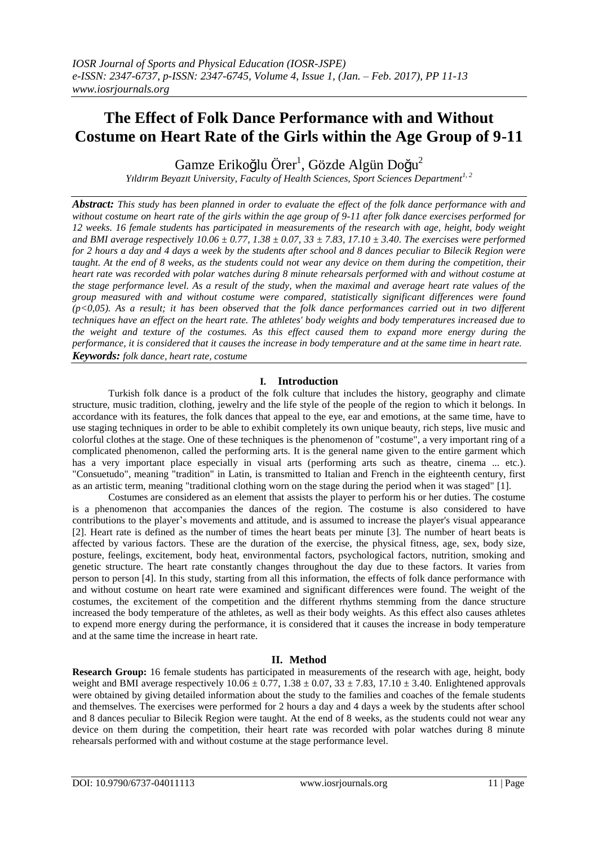# **The Effect of Folk Dance Performance with and Without Costume on Heart Rate of the Girls within the Age Group of 9-11**

Gamze Erikoğlu Örer<sup>1</sup>, Gözde Algün Doğu<sup>2</sup>

*Yıldırım Beyazıt University, Faculty of Health Sciences, Sport Sciences Department1, <sup>2</sup>*

*Abstract: This study has been planned in order to evaluate the effect of the folk dance performance with and without costume on heart rate of the girls within the age group of 9-11 after folk dance exercises performed for 12 weeks. 16 female students has participated in measurements of the research with age, height, body weight and BMI average respectively 10.06 ± 0.77, 1.38 ± 0.07, 33 ± 7.83, 17.10 ± 3.40. The exercises were performed for 2 hours a day and 4 days a week by the students after school and 8 dances peculiar to Bilecik Region were taught. At the end of 8 weeks, as the students could not wear any device on them during the competition, their heart rate was recorded with polar watches during 8 minute rehearsals performed with and without costume at the stage performance level. As a result of the study, when the maximal and average heart rate values of the group measured with and without costume were compared, statistically significant differences were found (p<0,05). As a result; it has been observed that the folk dance performances carried out in two different techniques have an effect on the heart rate. The athletes' body weights and body temperatures increased due to the weight and texture of the costumes. As this effect caused them to expand more energy during the performance, it is considered that it causes the increase in body temperature and at the same time in heart rate. Keywords: folk dance, heart rate, costume* 

## **I. Introduction**

Turkish folk dance is a product of the folk culture that includes the history, geography and climate structure, music tradition, clothing, jewelry and the life style of the people of the region to which it belongs. In accordance with its features, the folk dances that appeal to the eye, ear and emotions, at the same time, have to use staging techniques in order to be able to exhibit completely its own unique beauty, rich steps, live music and colorful clothes at the stage. One of these techniques is the phenomenon of "costume", a very important ring of a complicated phenomenon, called the performing arts. It is the general name given to the entire garment which has a very important place especially in visual arts (performing arts such as theatre, cinema ... etc.). "Consuetudo", meaning "tradition" in Latin, is transmitted to Italian and French in the eighteenth century, first as an artistic term, meaning "traditional clothing worn on the stage during the period when it was staged" [1].

Costumes are considered as an element that assists the player to perform his or her duties. The costume is a phenomenon that accompanies the dances of the region. The costume is also considered to have contributions to the player's movements and attitude, and is assumed to increase the player's visual appearance [2]. Heart rate is defined as the number of times the heart beats per minute [3]. The number of heart beats is affected by various factors. These are the duration of the exercise, the physical fitness, age, sex, body size, posture, feelings, excitement, body heat, environmental factors, psychological factors, nutrition, smoking and genetic structure. The heart rate constantly changes throughout the day due to these factors. It varies from person to person [4]. In this study, starting from all this information, the effects of folk dance performance with and without costume on heart rate were examined and significant differences were found. The weight of the costumes, the excitement of the competition and the different rhythms stemming from the dance structure increased the body temperature of the athletes, as well as their body weights. As this effect also causes athletes to expend more energy during the performance, it is considered that it causes the increase in body temperature and at the same time the increase in heart rate.

## **II. Method**

**Research Group:** 16 female students has participated in measurements of the research with age, height, body weight and BMI average respectively  $10.06 \pm 0.77$ ,  $1.38 \pm 0.07$ ,  $33 \pm 7.83$ ,  $17.10 \pm 3.40$ . Enlightened approvals were obtained by giving detailed information about the study to the families and coaches of the female students and themselves. The exercises were performed for 2 hours a day and 4 days a week by the students after school and 8 dances peculiar to Bilecik Region were taught. At the end of 8 weeks, as the students could not wear any device on them during the competition, their heart rate was recorded with polar watches during 8 minute rehearsals performed with and without costume at the stage performance level.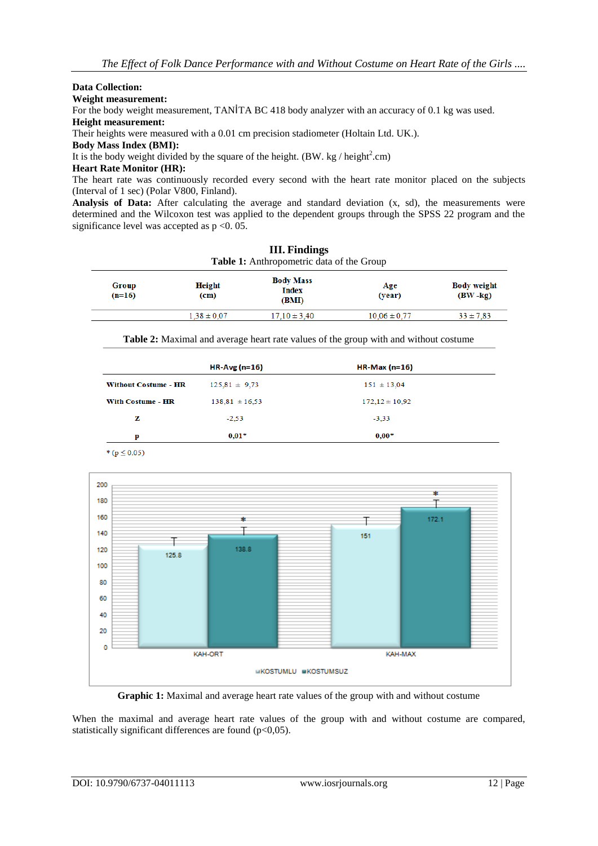#### **Data Collection:**

**Weight measurement:**

For the body weight measurement, TANİTA BC 418 body analyzer with an accuracy of 0.1 kg was used. **Height measurement:**

Their heights were measured with a 0.01 cm precision stadiometer (Holtain Ltd. UK.).

**Body Mass Index (BMI):**

It is the body weight divided by the square of the height. (BW. kg / height<sup>2</sup>.cm)

### **Heart Rate Monitor (HR):**

The heart rate was continuously recorded every second with the heart rate monitor placed on the subjects (Interval of 1 sec) (Polar V800, Finland).

Analysis of Data: After calculating the average and standard deviation  $(x, sd)$ , the measurements were determined and the Wilcoxon test was applied to the dependent groups through the SPSS 22 program and the significance level was accepted as  $p \le 0.05$ .

| <b>III.</b> Findings<br>Table 1: Anthropometric data of the Group |                                           |                  |                                   |
|-------------------------------------------------------------------|-------------------------------------------|------------------|-----------------------------------|
| <b>Height</b><br>(c <sub>m</sub> )                                | <b>Body Mass</b><br><b>Index</b><br>(BMI) | Age<br>(year)    | <b>Body weight</b><br>$(BW - kg)$ |
| $1.38 \pm 0.07$                                                   | $17.10 \pm 3.40$                          | $10.06 \pm 0.77$ | $33 \pm 7.83$                     |
|                                                                   |                                           |                  |                                   |

**Table 2:** Maximal and average heart rate values of the group with and without costume

|                             | HR-Avg $(n=16)$    | $HR-Max(n=16)$     |
|-----------------------------|--------------------|--------------------|
| <b>Without Costume - HR</b> | $125.81 \pm 9.73$  | $151 \pm 13,04$    |
| <b>With Costume - HR</b>    | $138,81 \pm 16,53$ | $172,12 \pm 10,92$ |
| z                           | $-2.53$            | $-3.33$            |
| p                           | $0.01*$            | $0,00*$            |
|                             |                    |                    |

\* ( $p \le 0.05$ )



**Graphic 1:** Maximal and average heart rate values of the group with and without costume

When the maximal and average heart rate values of the group with and without costume are compared, statistically significant differences are found (p<0,05).